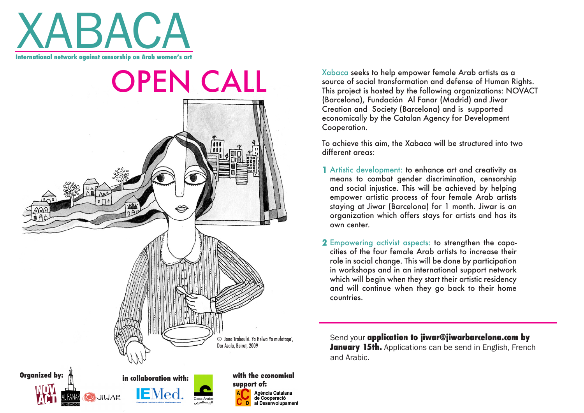

**OPEN CALL** © Jana Traboulsi. Ya Helwa Ya mufataqa', Dar Asala, Beirut, 2009 **Organized by:**  $\frac{1}{\sqrt{2}}$  **in collaboration with: with the economical support of:** Agència Catalana de Cooperació al Desenvolupament Xabaca seeks to help empower female Arab artists as a source of social transformation and defense of Human Rights. This project is hosted by the following organizations: NOVACT (Barcelona), Fundación Al Fanar (Madrid) and Jiwar Creation and Society (Barcelona) and is supported economically by the Catalan Agency for Development Cooperation.

To achieve this aim, the Xabaca will be structured into two different areas:

- Artistic development: to enhance art and creativity as **1** means to combat gender discrimination, censorship and social injustice. This will be achieved by helping empower artistic process of four female Arab artists staying at Jiwar (Barcelona) for 1 month. Jiwar is an organization which offers stays for artists and has its own center.
- Empowering activist aspects: to strengthen the capa-**2** cities of the four female Arab artists to increase their role in social change. This will be done by participation in workshops and in an international support network which will begin when they start their artistic residency and will continue when they go back to their home **countries**

Send your **application to jiwar@jiwarbarcelona.com by January 15th.** Applications can be send in English, French and Arabic.